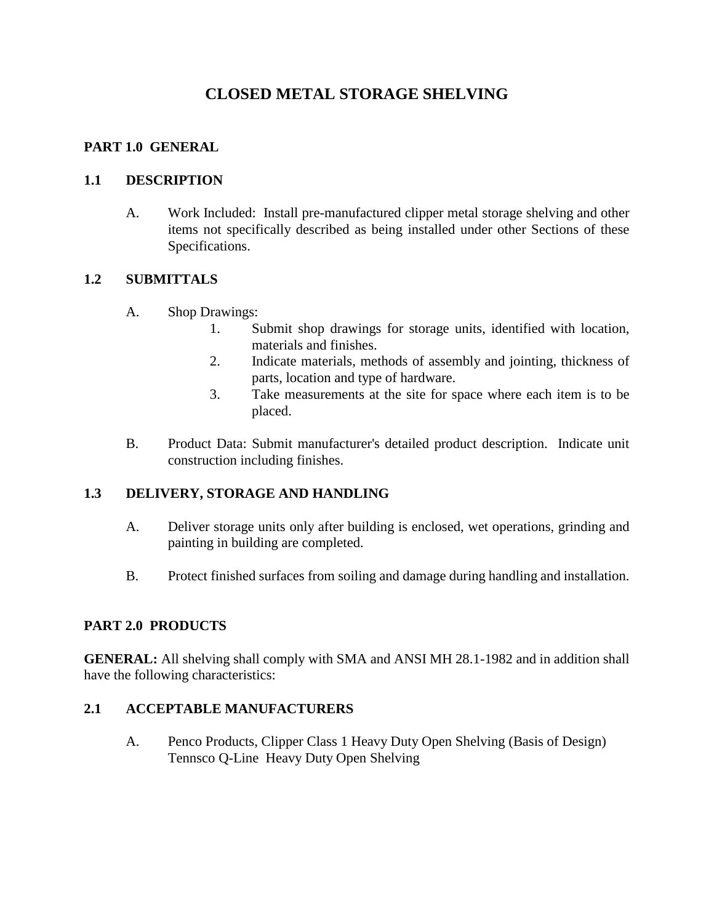# **CLOSED METAL STORAGE SHELVING**

## **PART 1.0 GENERAL**

### **1.1 DESCRIPTION**

A. Work Included: Install pre-manufactured clipper metal storage shelving and other items not specifically described as being installed under other Sections of these Specifications.

### **1.2 SUBMITTALS**

- A. Shop Drawings:
	- 1. Submit shop drawings for storage units, identified with location, materials and finishes.
	- 2. Indicate materials, methods of assembly and jointing, thickness of parts, location and type of hardware.
	- 3. Take measurements at the site for space where each item is to be placed.
- B. Product Data: Submit manufacturer's detailed product description. Indicate unit construction including finishes.

# **1.3 DELIVERY, STORAGE AND HANDLING**

- A. Deliver storage units only after building is enclosed, wet operations, grinding and painting in building are completed.
- B. Protect finished surfaces from soiling and damage during handling and installation.

# **PART 2.0 PRODUCTS**

**GENERAL:** All shelving shall comply with SMA and ANSI MH 28.1-1982 and in addition shall have the following characteristics:

# **2.1 ACCEPTABLE MANUFACTURERS**

A. Penco Products, Clipper Class 1 Heavy Duty Open Shelving (Basis of Design) Tennsco Q-Line Heavy Duty Open Shelving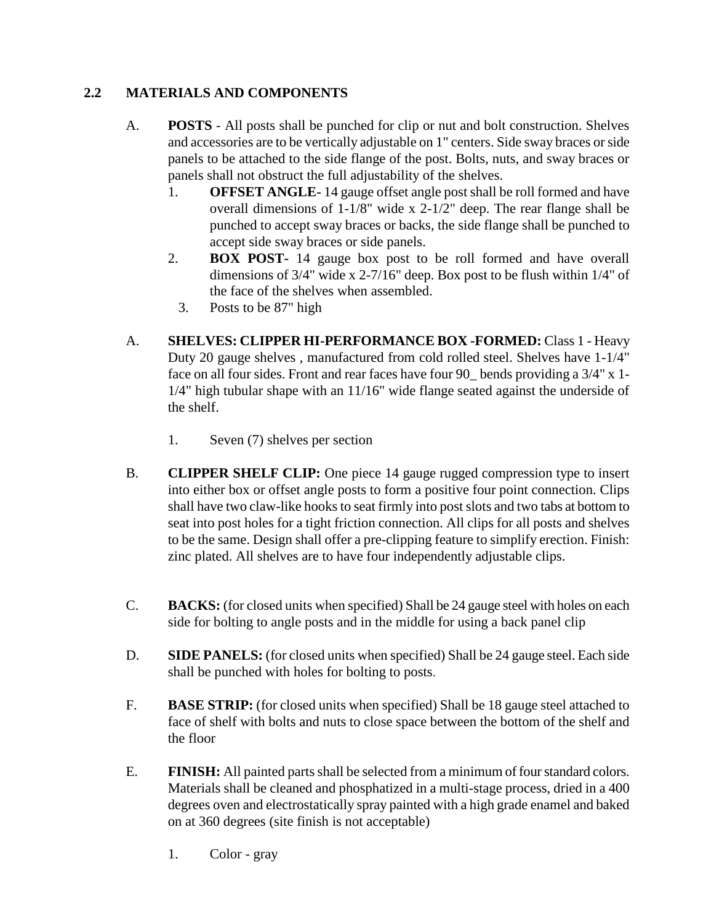# **2.2 MATERIALS AND COMPONENTS**

- A. **POSTS**  All posts shall be punched for clip or nut and bolt construction. Shelves and accessories are to be vertically adjustable on 1" centers. Side sway braces or side panels to be attached to the side flange of the post. Bolts, nuts, and sway braces or panels shall not obstruct the full adjustability of the shelves.
	- 1. **OFFSET ANGLE-** 14 gauge offset angle post shall be roll formed and have overall dimensions of 1-1/8" wide x 2-1/2" deep. The rear flange shall be punched to accept sway braces or backs, the side flange shall be punched to accept side sway braces or side panels.
	- 2. **BOX POST-** 14 gauge box post to be roll formed and have overall dimensions of 3/4" wide x 2-7/16" deep. Box post to be flush within 1/4" of the face of the shelves when assembled.
		- 3. Posts to be 87" high
- A. **SHELVES: CLIPPER HI-PERFORMANCE BOX -FORMED:** Class 1 Heavy Duty 20 gauge shelves , manufactured from cold rolled steel. Shelves have 1-1/4" face on all four sides. Front and rear faces have four 90 bends providing a 3/4" x 1-1/4" high tubular shape with an 11/16" wide flange seated against the underside of the shelf.
	- 1. Seven (7) shelves per section
- B. **CLIPPER SHELF CLIP:** One piece 14 gauge rugged compression type to insert into either box or offset angle posts to form a positive four point connection. Clips shall have two claw-like hooks to seat firmly into post slots and two tabs at bottom to seat into post holes for a tight friction connection. All clips for all posts and shelves to be the same. Design shall offer a pre-clipping feature to simplify erection. Finish: zinc plated. All shelves are to have four independently adjustable clips.
- C. **BACKS:** (for closed units when specified) Shall be 24 gauge steel with holes on each side for bolting to angle posts and in the middle for using a back panel clip
- D. **SIDE PANELS:** (for closed units when specified) Shall be 24 gauge steel. Each side shall be punched with holes for bolting to posts.
- F. **BASE STRIP:** (for closed units when specified) Shall be 18 gauge steel attached to face of shelf with bolts and nuts to close space between the bottom of the shelf and the floor
- E. **FINISH:** All painted parts shall be selected from a minimum of four standard colors. Materials shall be cleaned and phosphatized in a multi-stage process, dried in a 400 degrees oven and electrostatically spray painted with a high grade enamel and baked on at 360 degrees (site finish is not acceptable)
	- 1. Color gray